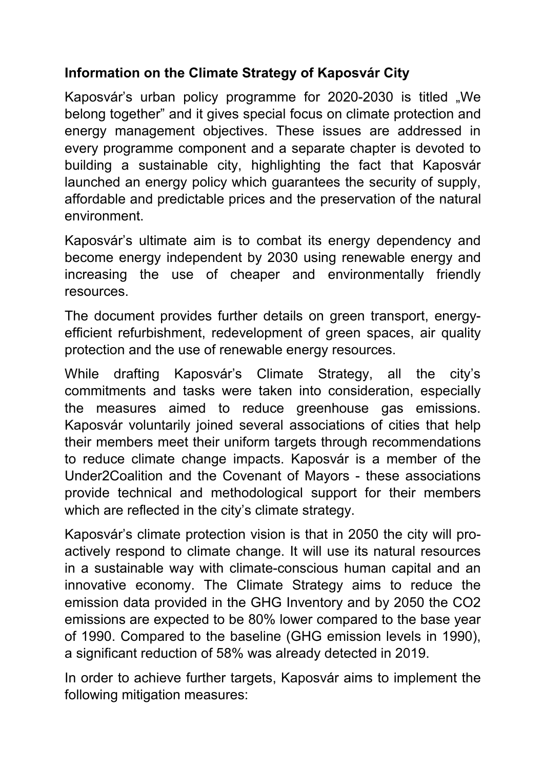## **Information on the Climate Strategy of Kaposvár City**

Kaposvár's urban policy programme for 2020-2030 is titled "We belong together" and it gives special focus on climate protection and energy management objectives. These issues are addressed in every programme component and a separate chapter is devoted to building a sustainable city, highlighting the fact that Kaposvár launched an energy policy which guarantees the security of supply, affordable and predictable prices and the preservation of the natural environment.

Kaposvár's ultimate aim is to combat its energy dependency and become energy independent by 2030 using renewable energy and increasing the use of cheaper and environmentally friendly resources.

The document provides further details on green transport, energy efficient refurbishment, redevelopment of green spaces, air quality protection and the use of renewable energy resources.

While drafting Kaposvár's Climate Strategy, all the city's commitments and tasks were taken into consideration, especially the measures aimed to reduce greenhouse gas emissions. Kaposvár voluntarily joined several associations of cities that help their members meet their uniform targets through recommendations to reduce climate change impacts. Kaposvár is a member of the Under2Coalition and the Covenant of Mayors - these associations provide technical and methodological support for their members which are reflected in the city's climate strategy.

Kaposvár's climate protection vision is that in 2050 the city will proactively respond to climate change. It will use its natural resources in a sustainable way with climate-conscious human capital and an innovative economy. The Climate Strategy aims to reduce the emission data provided in the GHG Inventory and by 2050 the CO2 emissions are expected to be 80% lower compared to the base year of 1990. Compared to the baseline (GHG emission levels in 1990), a significant reduction of 58% was already detected in 2019.

In order to achieve further targets, Kaposvár aims to implement the following mitigation measures: